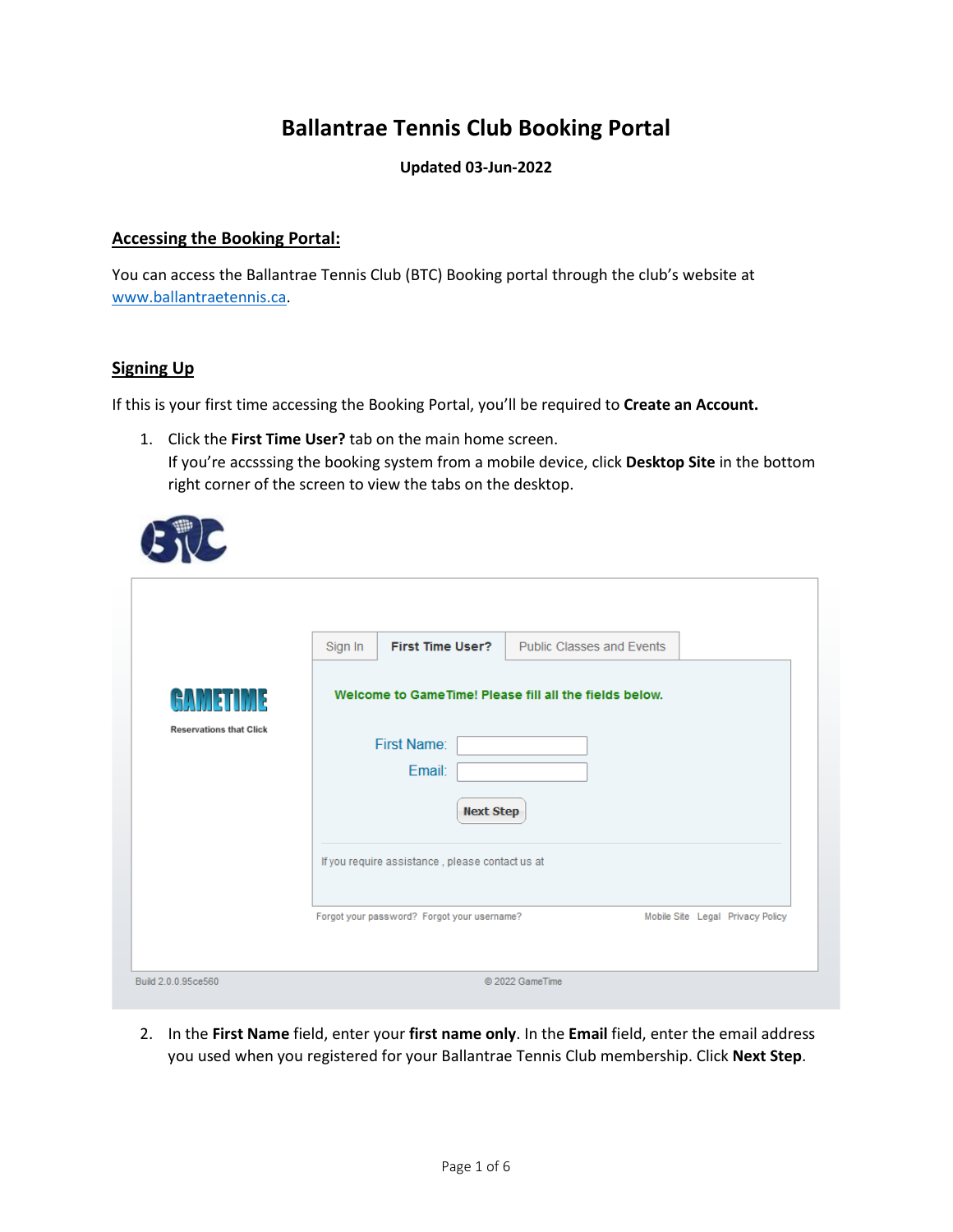# **Ballantrae Tennis Club Booking Portal**

#### **Updated 03-Jun-2022**

#### **Accessing the Booking Portal:**

You can access the Ballantrae Tennis Club (BTC) Booking portal through the club's website at [www.ballantraetennis.ca.](http://www.ballantraetennis.ca/)

#### **Signing Up**

If this is your first time accessing the Booking Portal, you'll be required to **Create an Account.**

1. Click the **First Time User?** tab on the main home screen. If you're accsssing the booking system from a mobile device, click **Desktop Site** in the bottom right corner of the screen to view the tabs on the desktop.

|                                | Sign In | <b>First Time User?</b>                         | <b>Public Classes and Events</b>                        |                                  |  |
|--------------------------------|---------|-------------------------------------------------|---------------------------------------------------------|----------------------------------|--|
| GAMETIME                       |         |                                                 | Welcome to Game Time! Please fill all the fields below. |                                  |  |
| <b>Reservations that Click</b> |         |                                                 |                                                         |                                  |  |
|                                |         | <b>First Name:</b>                              |                                                         |                                  |  |
|                                |         | Email:                                          |                                                         |                                  |  |
|                                |         | <b>Next Step</b>                                |                                                         |                                  |  |
|                                |         | If you require assistance, please contact us at |                                                         |                                  |  |
|                                |         | Forgot your password? Forgot your username?     |                                                         | Mobile Site Legal Privacy Policy |  |

2. In the **First Name** field, enter your **first name only**. In the **Email** field, enter the email address you used when you registered for your Ballantrae Tennis Club membership. Click **Next Step**.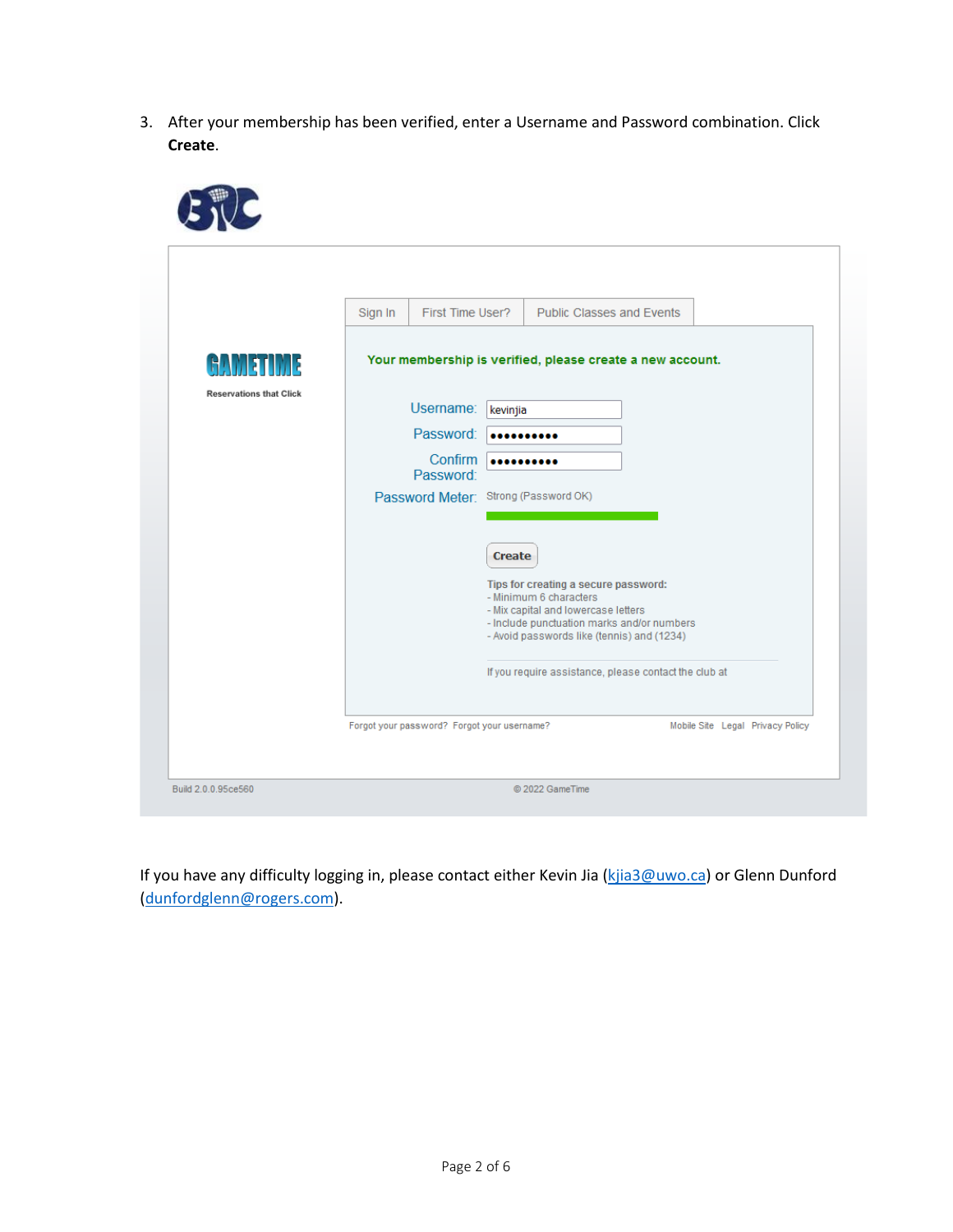3. After your membership has been verified, enter a Username and Password combination. Click **Create**.

|                                | Sign In | First Time User?                            |               | <b>Public Classes and Events</b>                                                  |  |                                  |
|--------------------------------|---------|---------------------------------------------|---------------|-----------------------------------------------------------------------------------|--|----------------------------------|
| IM 3<br>6AM                    |         |                                             |               | Your membership is verified, please create a new account.                         |  |                                  |
| <b>Reservations that Click</b> |         | Username:                                   | kevinjia      |                                                                                   |  |                                  |
|                                |         | Password:                                   |               |                                                                                   |  |                                  |
|                                |         | Confirm<br>Password:                        |               |                                                                                   |  |                                  |
|                                |         | Password Meter: Strong (Password OK)        |               |                                                                                   |  |                                  |
|                                |         |                                             |               |                                                                                   |  |                                  |
|                                |         |                                             | <b>Create</b> |                                                                                   |  |                                  |
|                                |         |                                             |               | Tips for creating a secure password:<br>- Minimum 6 characters                    |  |                                  |
|                                |         |                                             |               | - Mix capital and lowercase letters<br>- Include punctuation marks and/or numbers |  |                                  |
|                                |         |                                             |               | - Avoid passwords like (tennis) and (1234)                                        |  |                                  |
|                                |         |                                             |               | If you require assistance, please contact the club at                             |  |                                  |
|                                |         | Forgot your password? Forgot your username? |               |                                                                                   |  | Mobile Site Legal Privacy Policy |

If you have any difficulty logging in, please contact either Kevin Jia (kjia3@uwo.ca) or Glenn Dunford (dunfordglenn@rogers.com).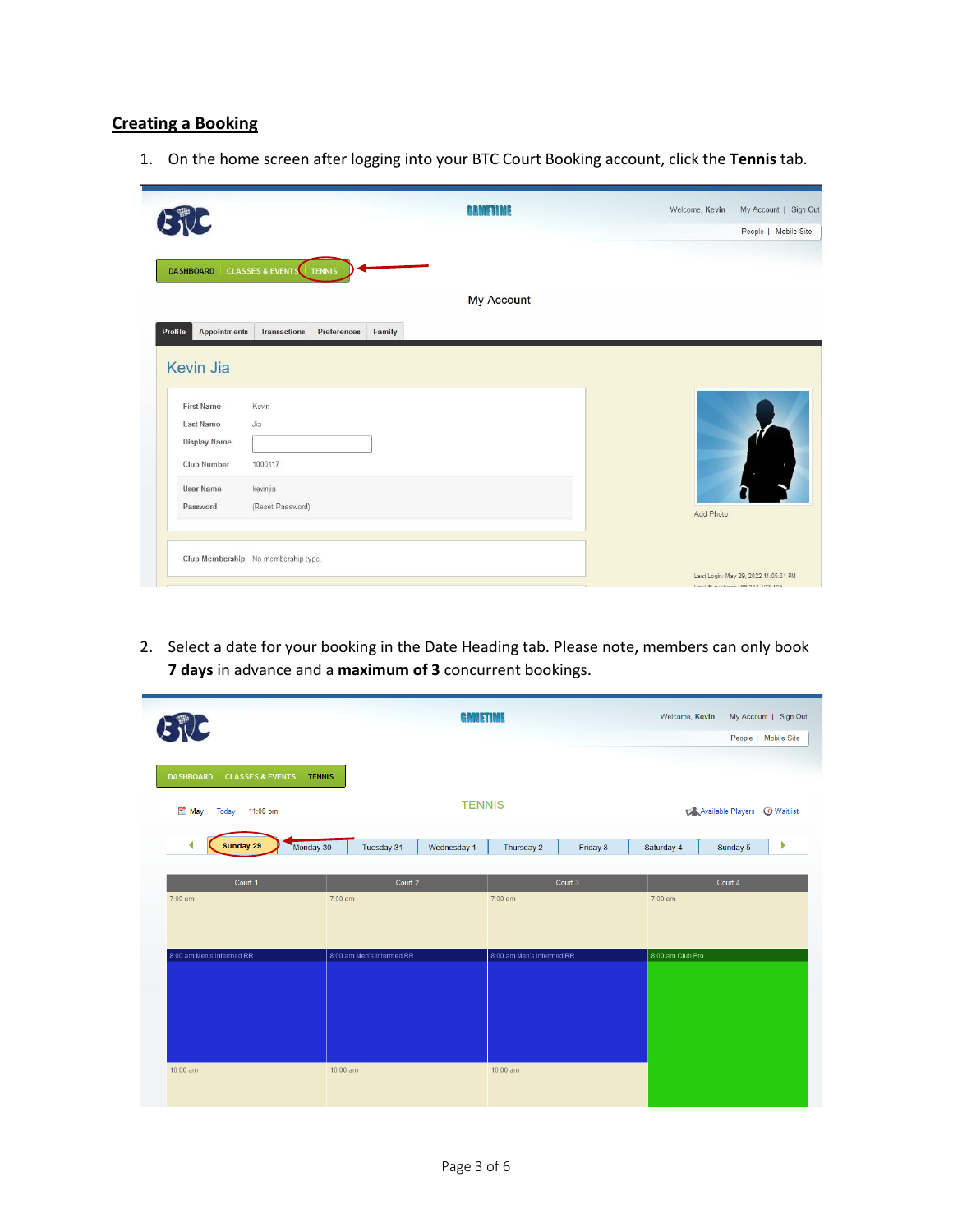## **Creating a Booking**

1. On the home screen after logging into your BTC Court Booking account, click the **Tennis** tab.

|                                                                                                    | aametime          | Welcome, Kevin<br>My Account   Sign Out<br>People   Mobile Site |
|----------------------------------------------------------------------------------------------------|-------------------|-----------------------------------------------------------------|
| <b>CLASSES &amp; EVENTS</b> TENNIS<br><b>DASHBOARD</b>                                             | <b>My Account</b> |                                                                 |
| Profile<br><b>Appointments</b><br>Preferences<br>Family<br><b>Transactions</b><br><b>Kevin Jia</b> |                   |                                                                 |
| <b>First Name</b><br>Kevin<br><b>Last Name</b><br>Jia                                              |                   |                                                                 |
|                                                                                                    |                   |                                                                 |
| <b>Display Name</b><br>Club Number<br>1000117                                                      |                   |                                                                 |
| <b>User Name</b><br>kevinjia<br>(Reset Password)<br>Password                                       |                   | Add Photo                                                       |
| Club Membership: No membership type.                                                               |                   | Last Login: May 29, 2022 11:05:31 PM                            |

2. Select a date for your booking in the Date Heading tab. Please note, members can only book **7 days** in advance and a **maximum of 3** concurrent bookings.

| <b>CLASSES &amp; EVENTS   TENNIS</b><br><b>DASHBOARD</b><br>May<br>Today 11:08 pm |                           |             |                           |          |                  | People   Mobile Site |                          |
|-----------------------------------------------------------------------------------|---------------------------|-------------|---------------------------|----------|------------------|----------------------|--------------------------|
|                                                                                   |                           |             |                           |          |                  |                      |                          |
|                                                                                   |                           |             | <b>TENNIS</b>             |          |                  | Available Players    | <b><i>O</i></b> Waitlist |
| ∢<br>Sunday 29                                                                    | Monday 30<br>Tuesday 31   | Wednesday 1 | Thursday 2                | Friday 3 | Saturday 4       | Sunday 5             | Þ                        |
| Court 1                                                                           | Court 2                   |             |                           | Court 3  |                  | Court 4              |                          |
| 7:00 am                                                                           | 7:00 am                   |             | 7:00 am                   |          | 7:00 am          |                      |                          |
| 8:00 am Men's intermed RR                                                         | 8:00 am Men's intermed RR |             | 8:00 am Men's intermed RR |          | 8:00 am Club Pro |                      |                          |
|                                                                                   |                           |             |                           |          |                  |                      |                          |
|                                                                                   |                           |             |                           |          |                  |                      |                          |
|                                                                                   |                           |             |                           |          |                  |                      |                          |
| 10:00 am                                                                          | 10:00 am                  |             | 10:00 am                  |          |                  |                      |                          |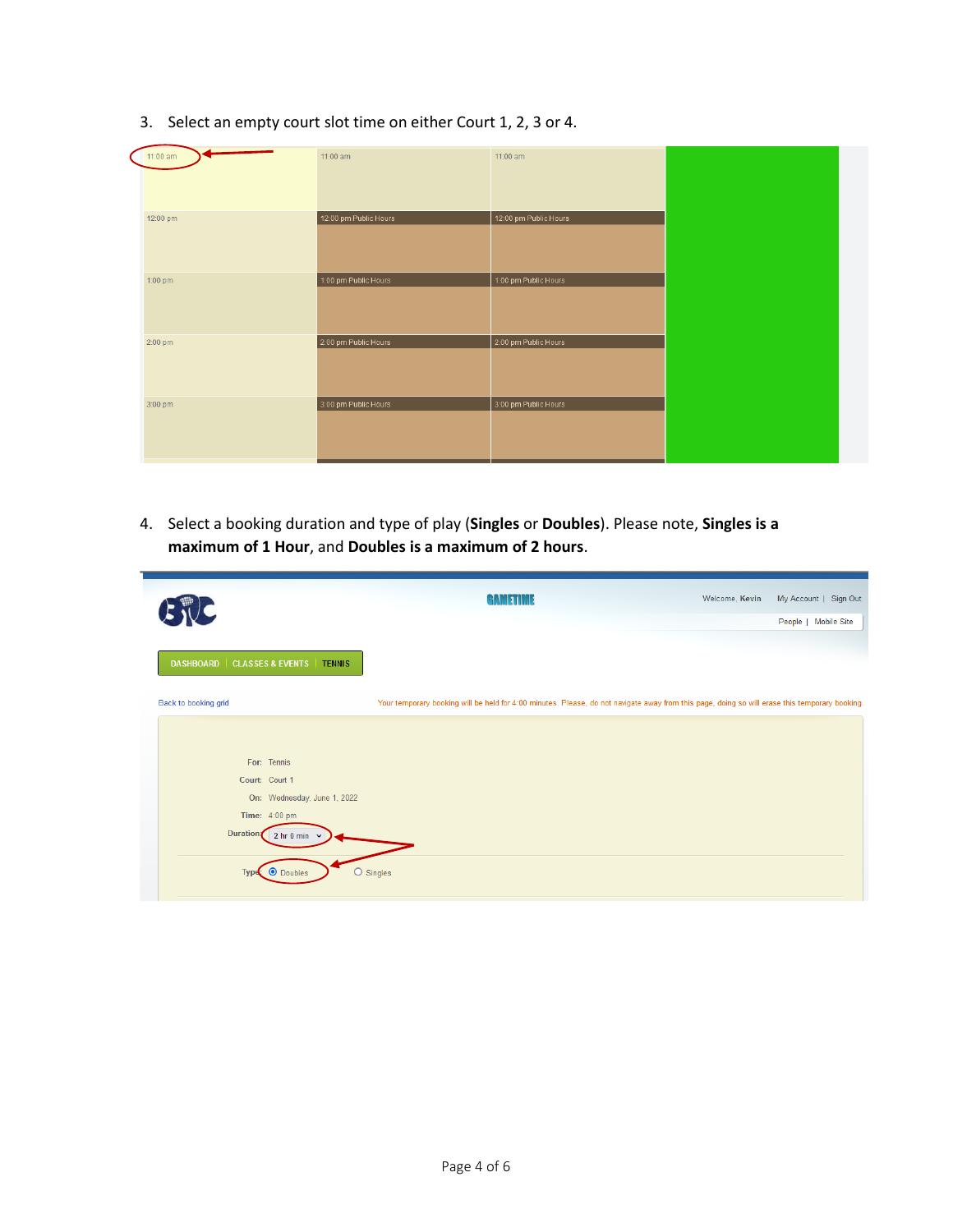| $11:00$ am | 11:00 am              | 11:00 am              |  |
|------------|-----------------------|-----------------------|--|
| 12:00 pm   | 12:00 pm Public Hours | 12:00 pm Public Hours |  |
| 1:00 pm    | 1:00 pm Public Hours  | 1:00 pm Public Hours  |  |
| 2:00 pm    | 2:00 pm Public Hours  | 2:00 pm Public Hours  |  |
| 3:00 pm    | 3:00 pm Public Hours  | 3:00 pm Public Hours  |  |

3. Select an empty court slot time on either Court 1, 2, 3 or 4.

4. Select a booking duration and type of play (**Singles** or **Doubles**). Please note, **Singles is a maximum of 1 Hour**, and **Doubles is a maximum of 2 hours**.

| $\sqrt{2}$                                                       | GAMETIME                                                                                                                                       | Welcome, Kevin | My Account   Sign Out |
|------------------------------------------------------------------|------------------------------------------------------------------------------------------------------------------------------------------------|----------------|-----------------------|
|                                                                  |                                                                                                                                                |                | People   Mobile Site  |
| <b>CLASSES &amp; EVENTS</b><br><b>DASHBOARD</b><br><b>TENNIS</b> |                                                                                                                                                |                |                       |
| Back to booking grid                                             | Your temporary booking will be held for 4:00 minutes. Please, do not navigate away from this page, doing so will erase this temporary booking. |                |                       |
|                                                                  |                                                                                                                                                |                |                       |
|                                                                  |                                                                                                                                                |                |                       |
| For: Tennis                                                      |                                                                                                                                                |                |                       |
| Court: Court 1                                                   |                                                                                                                                                |                |                       |
| On: Wednesday, June 1, 2022                                      |                                                                                                                                                |                |                       |
| Time: 4:00 pm                                                    |                                                                                                                                                |                |                       |
| <b>Duration</b><br>2 hr 0 min $\sim$                             |                                                                                                                                                |                |                       |
| Type $\odot$ Doubles                                             | O Singles                                                                                                                                      |                |                       |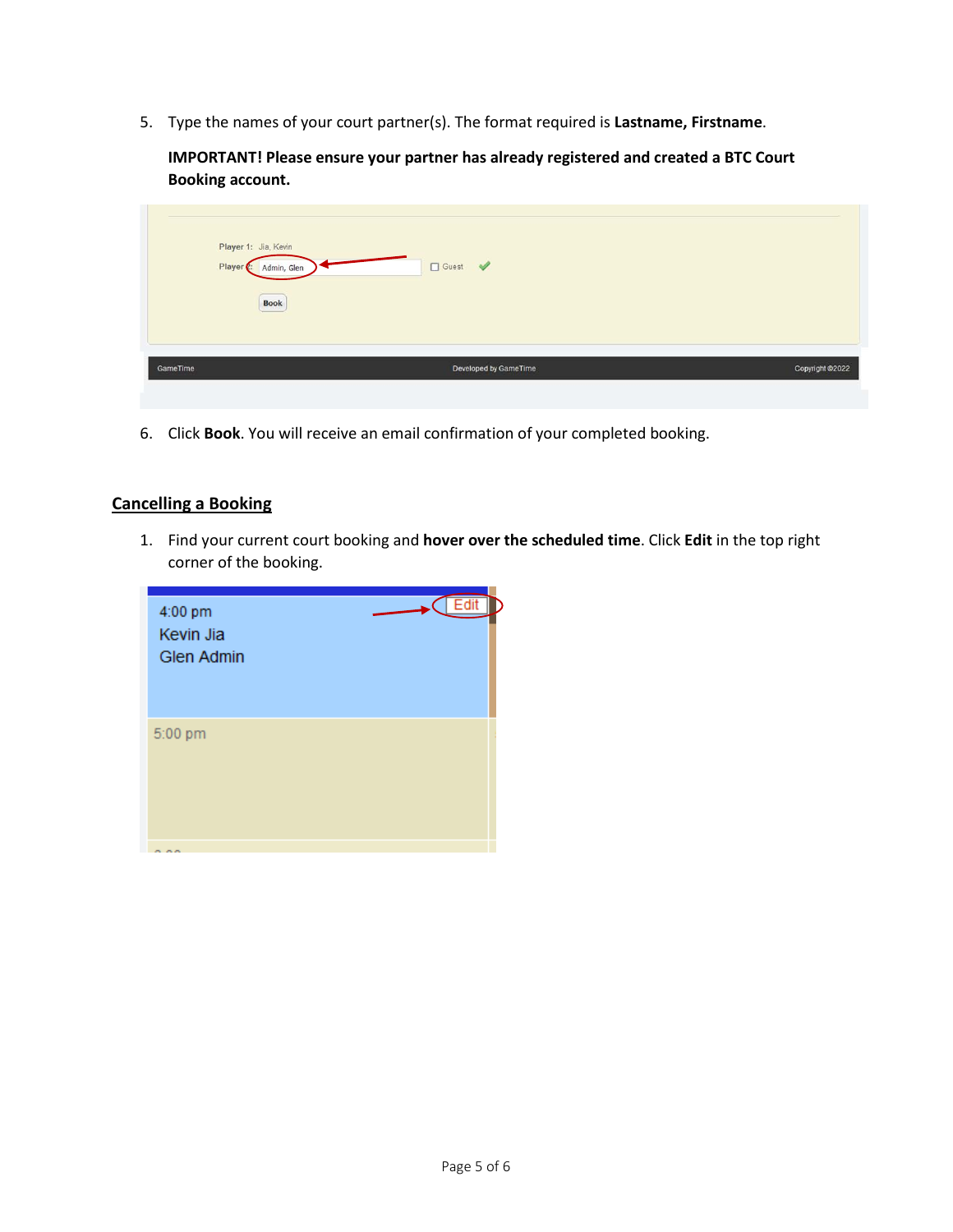5. Type the names of your court partner(s). The format required is **Lastname, Firstname**.

**IMPORTANT! Please ensure your partner has already registered and created a BTC Court Booking account.**

| Player 1: Jia, Kevin<br>Player . | □ Guest ♥<br>Admin, Glen<br><b>Book</b> |                 |
|----------------------------------|-----------------------------------------|-----------------|
| GameTime                         | Developed by GameTime                   | Copyright @2022 |

6. Click **Book**. You will receive an email confirmation of your completed booking.

### **Cancelling a Booking**

1. Find your current court booking and **hover over the scheduled time**. Click **Edit** in the top right corner of the booking.

| 4:00 pm<br>Kevin Jia<br><b>Glen Admin</b> | Fdit |
|-------------------------------------------|------|
| 5:00 pm                                   |      |
| .                                         |      |